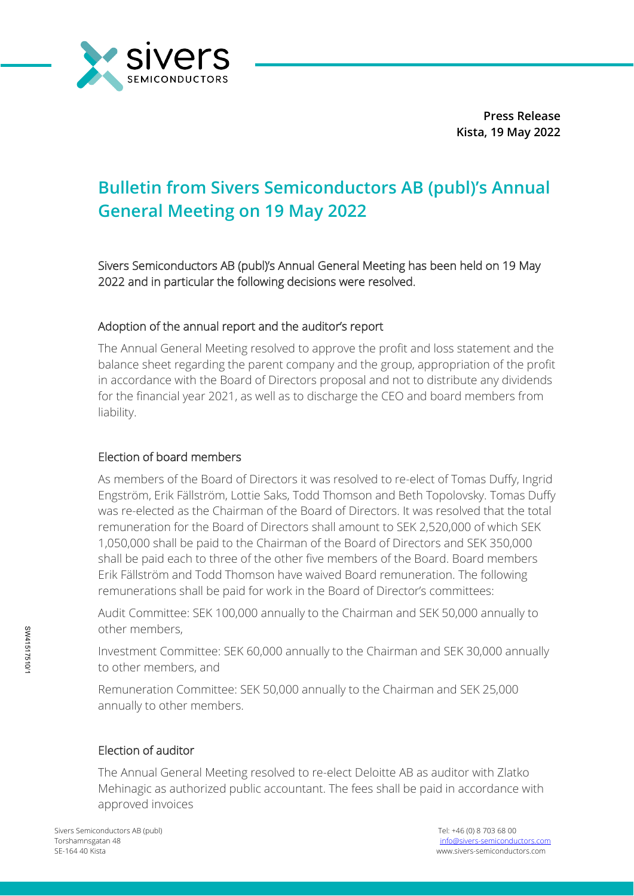

**Press Release Kista, 19 May 2022**

# **Bulletin from Sivers Semiconductors AB (publ)'s Annual General Meeting on 19 May 2022**

Sivers Semiconductors AB (publ)'s Annual General Meeting has been held on 19 May 2022 and in particular the following decisions were resolved.

### Adoption of the annual report and the auditor's report

The Annual General Meeting resolved to approve the profit and loss statement and the balance sheet regarding the parent company and the group, appropriation of the profit in accordance with the Board of Directors proposal and not to distribute any dividends for the financial year 2021, as well as to discharge the CEO and board members from liability.

### Election of board members

As members of the Board of Directors it was resolved to re-elect of Tomas Duffy, Ingrid Engström, Erik Fällström, Lottie Saks, Todd Thomson and Beth Topolovsky. Tomas Duffy was re-elected as the Chairman of the Board of Directors. It was resolved that the total remuneration for the Board of Directors shall amount to SEK 2,520,000 of which SEK 1,050,000 shall be paid to the Chairman of the Board of Directors and SEK 350,000 shall be paid each to three of the other five members of the Board. Board members Erik Fällström and Todd Thomson have waived Board remuneration. The following remunerations shall be paid for work in the Board of Director's committees:

Audit Committee: SEK 100,000 annually to the Chairman and SEK 50,000 annually to other members,

Investment Committee: SEK 60,000 annually to the Chairman and SEK 30,000 annually to other members, and

Remuneration Committee: SEK 50,000 annually to the Chairman and SEK 25,000 annually to other members.

#### Election of auditor

The Annual General Meeting resolved to re-elect Deloitte AB as auditor with Zlatko Mehinagic as authorized public accountant. The fees shall be paid in accordance with approved invoices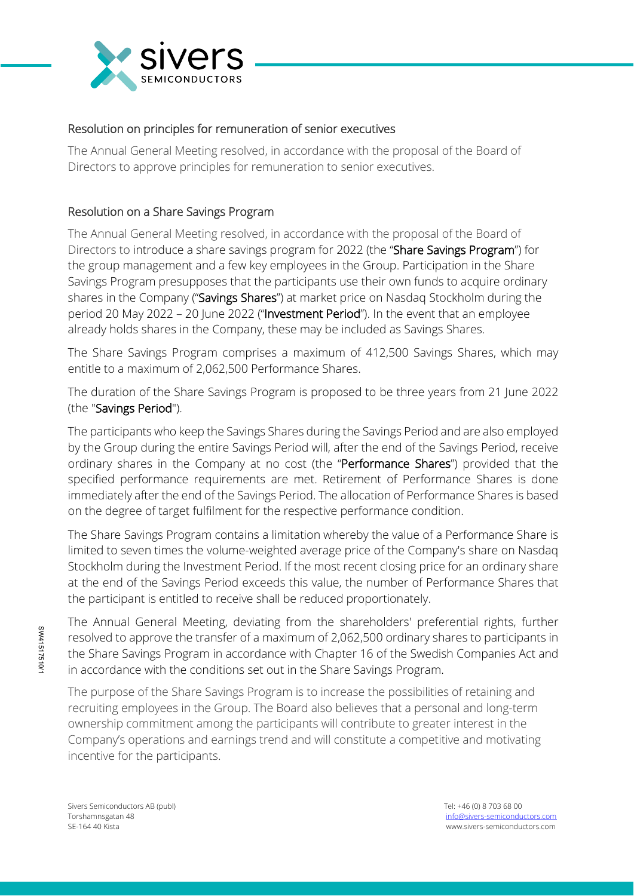

## Resolution on principles for remuneration of senior executives

The Annual General Meeting resolved, in accordance with the proposal of the Board of Directors to approve principles for remuneration to senior executives.

# Resolution on a Share Savings Program

The Annual General Meeting resolved, in accordance with the proposal of the Board of Directors to introduce a share savings program for 2022 (the "Share Savings Program") for the group management and a few key employees in the Group. Participation in the Share Savings Program presupposes that the participants use their own funds to acquire ordinary shares in the Company ("Savings Shares") at market price on Nasdag Stockholm during the period 20 May 2022 - 20 June 2022 ("Investment Period"). In the event that an employee already holds shares in the Company, these may be included as Savings Shares.

The Share Savings Program comprises a maximum of 412,500 Savings Shares, which may entitle to a maximum of 2,062,500 Performance Shares.

The duration of the Share Savings Program is proposed to be three years from 21 June 2022 (the "Savings Period").

The participants who keep the Savings Shares during the Savings Period and are also employed by the Group during the entire Savings Period will, after the end of the Savings Period, receive ordinary shares in the Company at no cost (the "Performance Shares") provided that the specified performance requirements are met. Retirement of Performance Shares is done immediately after the end of the Savings Period. The allocation of Performance Shares is based on the degree of target fulfilment for the respective performance condition.

The Share Savings Program contains a limitation whereby the value of a Performance Share is limited to seven times the volume-weighted average price of the Company's share on Nasdaq Stockholm during the Investment Period. If the most recent closing price for an ordinary share at the end of the Savings Period exceeds this value, the number of Performance Shares that the participant is entitled to receive shall be reduced proportionately.

The Annual General Meeting, deviating from the shareholders' preferential rights, further resolved to approve the transfer of a maximum of 2,062,500 ordinary shares to participants in the Share Savings Program in accordance with Chapter 16 of the Swedish Companies Act and in accordance with the conditions set out in the Share Savings Program.

The purpose of the Share Savings Program is to increase the possibilities of retaining and recruiting employees in the Group. The Board also believes that a personal and long-term ownership commitment among the participants will contribute to greater interest in the Company's operations and earnings trend and will constitute a competitive and motivating incentive for the participants.

Sivers Semiconductors AB (publ) Tel: +46 (0) 8 703 68 00

SW41517510/1

SW41517510/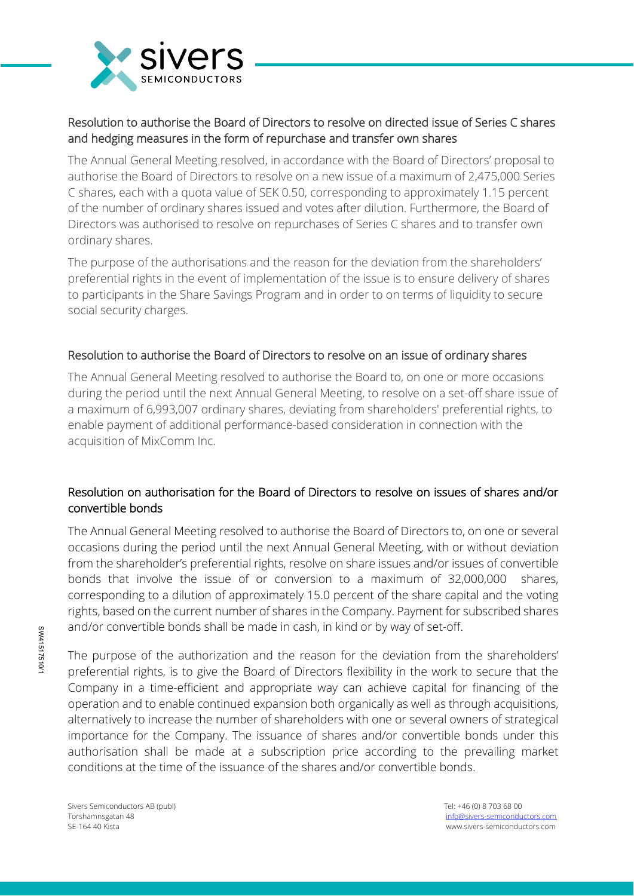

# Resolution to authorise the Board of Directors to resolve on directed issue of Series C shares and hedging measures in the form of repurchase and transfer own shares

The Annual General Meeting resolved, in accordance with the Board of Directors' proposal to authorise the Board of Directors to resolve on a new issue of a maximum of 2,475,000 Series C shares, each with a quota value of SEK 0.50, corresponding to approximately 1.15 percent of the number of ordinary shares issued and votes after dilution. Furthermore, the Board of Directors was authorised to resolve on repurchases of Series C shares and to transfer own ordinary shares.

The purpose of the authorisations and the reason for the deviation from the shareholders' preferential rights in the event of implementation of the issue is to ensure delivery of shares to participants in the Share Savings Program and in order to on terms of liquidity to secure social security charges.

## Resolution to authorise the Board of Directors to resolve on an issue of ordinary shares

The Annual General Meeting resolved to authorise the Board to, on one or more occasions during the period until the next Annual General Meeting, to resolve on a set-off share issue of a maximum of 6,993,007 ordinary shares, deviating from shareholders' preferential rights, to enable payment of additional performance-based consideration in connection with the acquisition of MixComm Inc.

# Resolution on authorisation for the Board of Directors to resolve on issues of shares and/or convertible bonds

The Annual General Meeting resolved to authorise the Board of Directors to, on one or several occasions during the period until the next Annual General Meeting, with or without deviation from the shareholder's preferential rights, resolve on share issues and/or issues of convertible bonds that involve the issue of or conversion to a maximum of 32,000,000 shares, corresponding to a dilution of approximately 15.0 percent of the share capital and the voting rights, based on the current number of shares in the Company. Payment for subscribed shares and/or convertible bonds shall be made in cash, in kind or by way of set-off.

The purpose of the authorization and the reason for the deviation from the shareholders' preferential rights, is to give the Board of Directors flexibility in the work to secure that the Company in a time-efficient and appropriate way can achieve capital for financing of the operation and to enable continued expansion both organically as well as through acquisitions, alternatively to increase the number of shareholders with one or several owners of strategical importance for the Company. The issuance of shares and/or convertible bonds under this authorisation shall be made at a subscription price according to the prevailing market conditions at the time of the issuance of the shares and/or convertible bonds.

Sivers Semiconductors AB (publ) Tel: +46 (0) 8 703 68 00